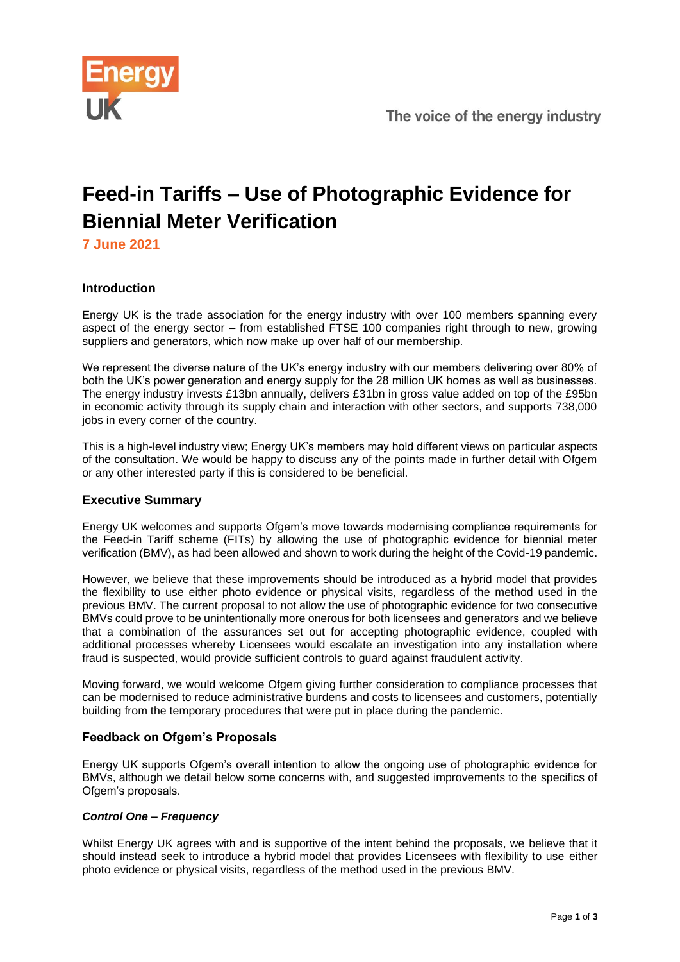

# **Feed-in Tariffs – Use of Photographic Evidence for Biennial Meter Verification**

**7 June 2021**

# **Introduction**

Energy UK is the trade association for the energy industry with over 100 members spanning every aspect of the energy sector – from established FTSE 100 companies right through to new, growing suppliers and generators, which now make up over half of our membership.

We represent the diverse nature of the UK's energy industry with our members delivering over 80% of both the UK's power generation and energy supply for the 28 million UK homes as well as businesses. The energy industry invests £13bn annually, delivers £31bn in gross value added on top of the £95bn in economic activity through its supply chain and interaction with other sectors, and supports 738,000 jobs in every corner of the country.

This is a high-level industry view; Energy UK's members may hold different views on particular aspects of the consultation. We would be happy to discuss any of the points made in further detail with Ofgem or any other interested party if this is considered to be beneficial.

# **Executive Summary**

Energy UK welcomes and supports Ofgem's move towards modernising compliance requirements for the Feed-in Tariff scheme (FITs) by allowing the use of photographic evidence for biennial meter verification (BMV), as had been allowed and shown to work during the height of the Covid-19 pandemic.

However, we believe that these improvements should be introduced as a hybrid model that provides the flexibility to use either photo evidence or physical visits, regardless of the method used in the previous BMV. The current proposal to not allow the use of photographic evidence for two consecutive BMVs could prove to be unintentionally more onerous for both licensees and generators and we believe that a combination of the assurances set out for accepting photographic evidence, coupled with additional processes whereby Licensees would escalate an investigation into any installation where fraud is suspected, would provide sufficient controls to guard against fraudulent activity.

Moving forward, we would welcome Ofgem giving further consideration to compliance processes that can be modernised to reduce administrative burdens and costs to licensees and customers, potentially building from the temporary procedures that were put in place during the pandemic.

# **Feedback on Ofgem's Proposals**

Energy UK supports Ofgem's overall intention to allow the ongoing use of photographic evidence for BMVs, although we detail below some concerns with, and suggested improvements to the specifics of Ofgem's proposals.

# *Control One – Frequency*

Whilst Energy UK agrees with and is supportive of the intent behind the proposals, we believe that it should instead seek to introduce a hybrid model that provides Licensees with flexibility to use either photo evidence or physical visits, regardless of the method used in the previous BMV.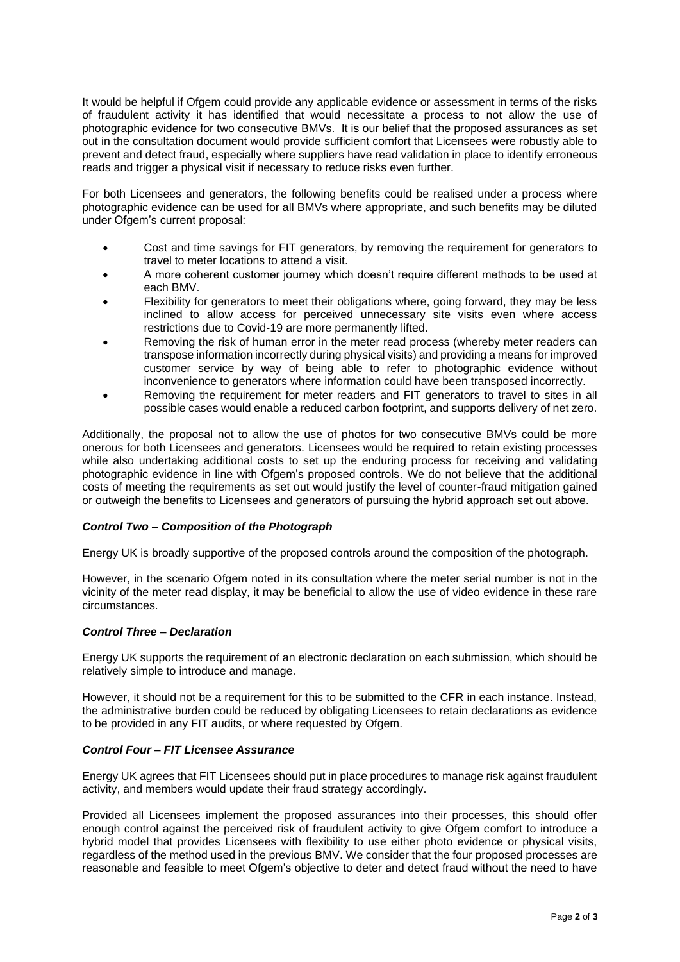It would be helpful if Ofgem could provide any applicable evidence or assessment in terms of the risks of fraudulent activity it has identified that would necessitate a process to not allow the use of photographic evidence for two consecutive BMVs. It is our belief that the proposed assurances as set out in the consultation document would provide sufficient comfort that Licensees were robustly able to prevent and detect fraud, especially where suppliers have read validation in place to identify erroneous reads and trigger a physical visit if necessary to reduce risks even further.

For both Licensees and generators, the following benefits could be realised under a process where photographic evidence can be used for all BMVs where appropriate, and such benefits may be diluted under Ofgem's current proposal:

- Cost and time savings for FIT generators, by removing the requirement for generators to travel to meter locations to attend a visit.
- A more coherent customer journey which doesn't require different methods to be used at each BMV.
- Flexibility for generators to meet their obligations where, going forward, they may be less inclined to allow access for perceived unnecessary site visits even where access restrictions due to Covid-19 are more permanently lifted.
- Removing the risk of human error in the meter read process (whereby meter readers can transpose information incorrectly during physical visits) and providing a means for improved customer service by way of being able to refer to photographic evidence without inconvenience to generators where information could have been transposed incorrectly.
- Removing the requirement for meter readers and FIT generators to travel to sites in all possible cases would enable a reduced carbon footprint, and supports delivery of net zero.

Additionally, the proposal not to allow the use of photos for two consecutive BMVs could be more onerous for both Licensees and generators. Licensees would be required to retain existing processes while also undertaking additional costs to set up the enduring process for receiving and validating photographic evidence in line with Ofgem's proposed controls. We do not believe that the additional costs of meeting the requirements as set out would justify the level of counter-fraud mitigation gained or outweigh the benefits to Licensees and generators of pursuing the hybrid approach set out above.

#### *Control Two – Composition of the Photograph*

Energy UK is broadly supportive of the proposed controls around the composition of the photograph.

However, in the scenario Ofgem noted in its consultation where the meter serial number is not in the vicinity of the meter read display, it may be beneficial to allow the use of video evidence in these rare circumstances.

#### *Control Three – Declaration*

Energy UK supports the requirement of an electronic declaration on each submission, which should be relatively simple to introduce and manage.

However, it should not be a requirement for this to be submitted to the CFR in each instance. Instead, the administrative burden could be reduced by obligating Licensees to retain declarations as evidence to be provided in any FIT audits, or where requested by Ofgem.

#### *Control Four – FIT Licensee Assurance*

Energy UK agrees that FIT Licensees should put in place procedures to manage risk against fraudulent activity, and members would update their fraud strategy accordingly.

Provided all Licensees implement the proposed assurances into their processes, this should offer enough control against the perceived risk of fraudulent activity to give Ofgem comfort to introduce a hybrid model that provides Licensees with flexibility to use either photo evidence or physical visits, regardless of the method used in the previous BMV. We consider that the four proposed processes are reasonable and feasible to meet Ofgem's objective to deter and detect fraud without the need to have